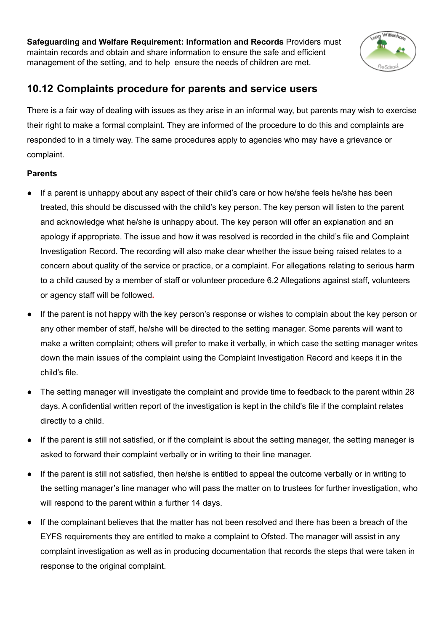**Safeguarding and Welfare Requirement: Information and Records** Providers must maintain records and obtain and share information to ensure the safe and efficient management of the setting, and to help ensure the needs of children are met.



# **10.12 Complaints procedure for parents and service users**

There is a fair way of dealing with issues as they arise in an informal way, but parents may wish to exercise their right to make a formal complaint. They are informed of the procedure to do this and complaints are responded to in a timely way. The same procedures apply to agencies who may have a grievance or complaint.

## **Parents**

- If a parent is unhappy about any aspect of their child's care or how he/she feels he/she has been treated, this should be discussed with the child's key person. The key person will listen to the parent and acknowledge what he/she is unhappy about. The key person will offer an explanation and an apology if appropriate. The issue and how it was resolved is recorded in the child's file and Complaint Investigation Record. The recording will also make clear whether the issue being raised relates to a concern about quality of the service or practice, or a complaint. For allegations relating to serious harm to a child caused by a member of staff or volunteer procedure 6.2 Allegations against staff, volunteers or agency staff will be followed**.**
- If the parent is not happy with the key person's response or wishes to complain about the key person or any other member of staff, he/she will be directed to the setting manager. Some parents will want to make a written complaint; others will prefer to make it verbally, in which case the setting manager writes down the main issues of the complaint using the Complaint Investigation Record and keeps it in the child's file.
- The setting manager will investigate the complaint and provide time to feedback to the parent within 28 days. A confidential written report of the investigation is kept in the child's file if the complaint relates directly to a child.
- If the parent is still not satisfied, or if the complaint is about the setting manager, the setting manager is asked to forward their complaint verbally or in writing to their line manager.
- If the parent is still not satisfied, then he/she is entitled to appeal the outcome verbally or in writing to the setting manager's line manager who will pass the matter on to trustees for further investigation, who will respond to the parent within a further 14 days.
- If the complainant believes that the matter has not been resolved and there has been a breach of the EYFS requirements they are entitled to make a complaint to Ofsted. The manager will assist in any complaint investigation as well as in producing documentation that records the steps that were taken in response to the original complaint.